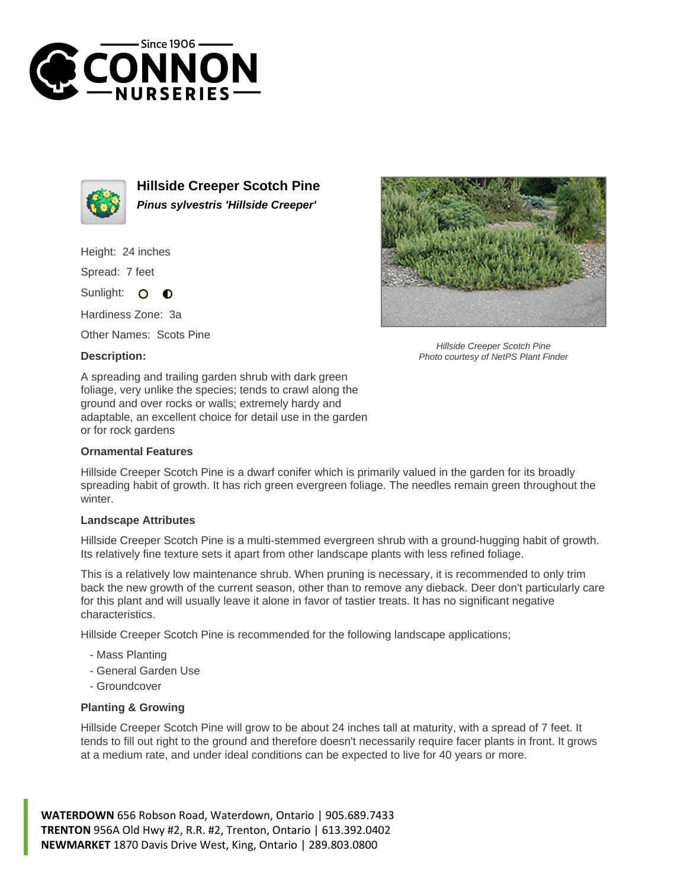



**Hillside Creeper Scotch Pine Pinus sylvestris 'Hillside Creeper'**

Height: 24 inches

Spread: 7 feet

Sunlight:  $\circ$  $\bullet$ 

Hardiness Zone: 3a

Other Names: Scots Pine

## **Description:**



Hillside Creeper Scotch Pine Photo courtesy of NetPS Plant Finder

A spreading and trailing garden shrub with dark green foliage, very unlike the species; tends to crawl along the ground and over rocks or walls; extremely hardy and adaptable, an excellent choice for detail use in the garden or for rock gardens

## **Ornamental Features**

Hillside Creeper Scotch Pine is a dwarf conifer which is primarily valued in the garden for its broadly spreading habit of growth. It has rich green evergreen foliage. The needles remain green throughout the winter

## **Landscape Attributes**

Hillside Creeper Scotch Pine is a multi-stemmed evergreen shrub with a ground-hugging habit of growth. Its relatively fine texture sets it apart from other landscape plants with less refined foliage.

This is a relatively low maintenance shrub. When pruning is necessary, it is recommended to only trim back the new growth of the current season, other than to remove any dieback. Deer don't particularly care for this plant and will usually leave it alone in favor of tastier treats. It has no significant negative characteristics.

Hillside Creeper Scotch Pine is recommended for the following landscape applications;

- Mass Planting
- General Garden Use
- Groundcover

## **Planting & Growing**

Hillside Creeper Scotch Pine will grow to be about 24 inches tall at maturity, with a spread of 7 feet. It tends to fill out right to the ground and therefore doesn't necessarily require facer plants in front. It grows at a medium rate, and under ideal conditions can be expected to live for 40 years or more.

**WATERDOWN** 656 Robson Road, Waterdown, Ontario | 905.689.7433 **TRENTON** 956A Old Hwy #2, R.R. #2, Trenton, Ontario | 613.392.0402 **NEWMARKET** 1870 Davis Drive West, King, Ontario | 289.803.0800